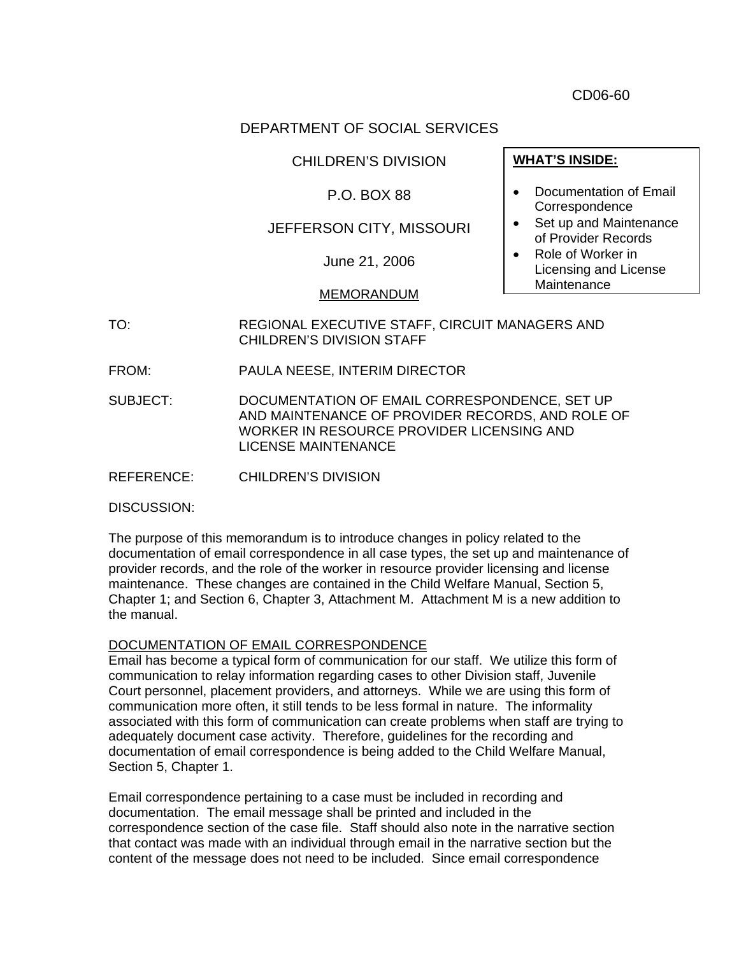CD06-60

# DEPARTMENT OF SOCIAL SERVICES

CHILDREN'S DIVISION

### P.O. BOX 88

## JEFFERSON CITY, MISSOURI

June 21, 2006

#### MEMORANDUM

TO: REGIONAL EXECUTIVE STAFF, CIRCUIT MANAGERS AND CHILDREN'S DIVISION STAFF

FROM: PAULA NEESE, INTERIM DIRECTOR

SUBJECT: DOCUMENTATION OF EMAIL CORRESPONDENCE, SET UP AND MAINTENANCE OF PROVIDER RECORDS, AND ROLE OF WORKER IN RESOURCE PROVIDER LICENSING AND LICENSE MAINTENANCE

REFERENCE: CHILDREN'S DIVISION

DISCUSSION:

The purpose of this memorandum is to introduce changes in policy related to the documentation of email correspondence in all case types, the set up and maintenance of provider records, and the role of the worker in resource provider licensing and license maintenance. These changes are contained in the Child Welfare Manual, Section 5, Chapter 1; and Section 6, Chapter 3, Attachment M. Attachment M is a new addition to the manual.

#### DOCUMENTATION OF EMAIL CORRESPONDENCE

Email has become a typical form of communication for our staff. We utilize this form of communication to relay information regarding cases to other Division staff, Juvenile Court personnel, placement providers, and attorneys. While we are using this form of communication more often, it still tends to be less formal in nature. The informality associated with this form of communication can create problems when staff are trying to adequately document case activity. Therefore, guidelines for the recording and documentation of email correspondence is being added to the Child Welfare Manual, Section 5, Chapter 1.

Email correspondence pertaining to a case must be included in recording and documentation. The email message shall be printed and included in the correspondence section of the case file. Staff should also note in the narrative section that contact was made with an individual through email in the narrative section but the content of the message does not need to be included. Since email correspondence

#### **WHAT'S INSIDE:**

- Documentation of Email Correspondence
- Set up and Maintenance of Provider Records
- Role of Worker in Licensing and License Maintenance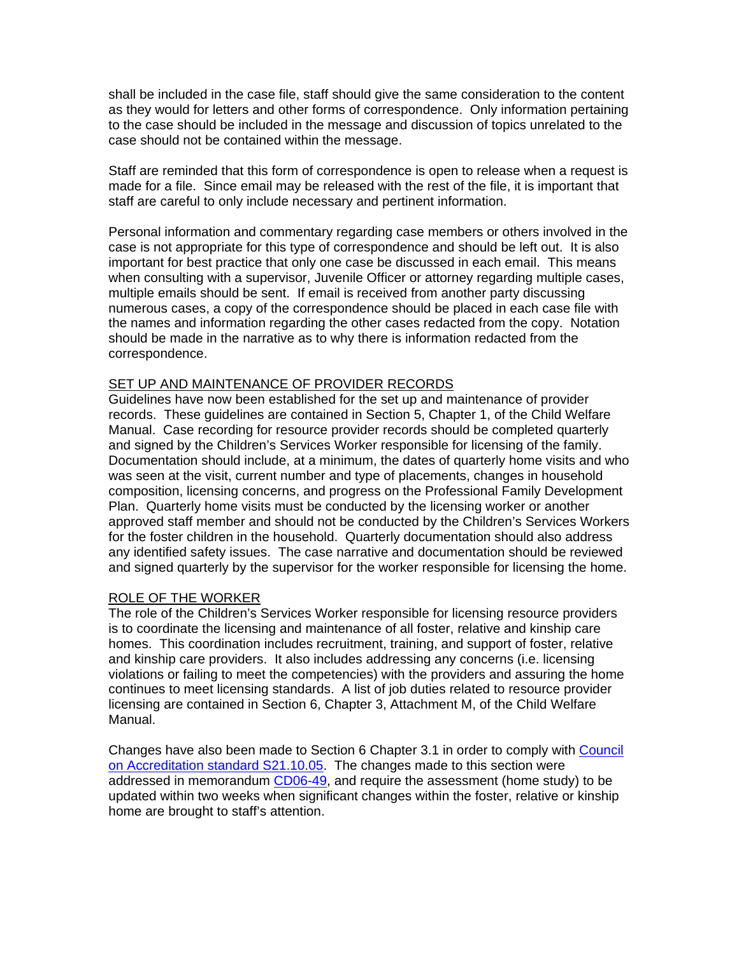shall be included in the case file, staff should give the same consideration to the content as they would for letters and other forms of correspondence. Only information pertaining to the case should be included in the message and discussion of topics unrelated to the case should not be contained within the message.

Staff are reminded that this form of correspondence is open to release when a request is made for a file. Since email may be released with the rest of the file, it is important that staff are careful to only include necessary and pertinent information.

Personal information and commentary regarding case members or others involved in the case is not appropriate for this type of correspondence and should be left out. It is also important for best practice that only one case be discussed in each email. This means when consulting with a supervisor, Juvenile Officer or attorney regarding multiple cases, multiple emails should be sent. If email is received from another party discussing numerous cases, a copy of the correspondence should be placed in each case file with the names and information regarding the other cases redacted from the copy. Notation should be made in the narrative as to why there is information redacted from the correspondence.

#### SET UP AND MAINTENANCE OF PROVIDER RECORDS

Guidelines have now been established for the set up and maintenance of provider records. These guidelines are contained in Section 5, Chapter 1, of the Child Welfare Manual. Case recording for resource provider records should be completed quarterly and signed by the Children's Services Worker responsible for licensing of the family. Documentation should include, at a minimum, the dates of quarterly home visits and who was seen at the visit, current number and type of placements, changes in household composition, licensing concerns, and progress on the Professional Family Development Plan. Quarterly home visits must be conducted by the licensing worker or another approved staff member and should not be conducted by the Children's Services Workers for the foster children in the household. Quarterly documentation should also address any identified safety issues. The case narrative and documentation should be reviewed and signed quarterly by the supervisor for the worker responsible for licensing the home.

#### ROLE OF THE WORKER

The role of the Children's Services Worker responsible for licensing resource providers is to coordinate the licensing and maintenance of all foster, relative and kinship care homes. This coordination includes recruitment, training, and support of foster, relative and kinship care providers. It also includes addressing any concerns (i.e. licensing violations or failing to meet the competencies) with the providers and assuring the home continues to meet licensing standards. A list of job duties related to resource provider licensing are contained in Section 6, Chapter 3, Attachment M, of the Child Welfare Manual.

Changes have also been made to Section 6 Chapter 3.1 in order to comply with [Council](http://dssweb/cs/standards/servicestds/21.pdf)  [on Accreditation standard S21.10.05.](http://dssweb/cs/standards/servicestds/21.pdf) The changes made to this section were addressed in memorandum [CD06-49,](http://www.dss.mo.gov/cd/info/memos/2006/49/cd0649.pdf) and require the assessment (home study) to be updated within two weeks when significant changes within the foster, relative or kinship home are brought to staff's attention.